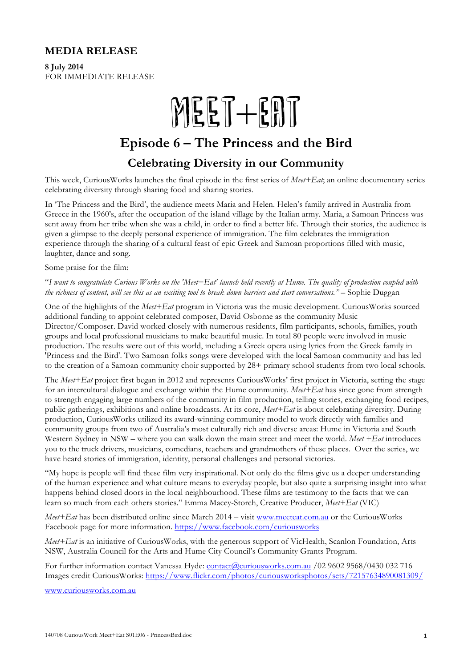#### **MEDIA RELEASE**

**8 July 2014**  FOR IMMEDIATE RELEASE

## $MEET + ERT$

## **Episode 6 – The Princess and the Bird**

### **Celebrating Diversity in our Community**

This week, CuriousWorks launches the final episode in the first series of *Meet+Eat*; an online documentary series celebrating diversity through sharing food and sharing stories.

In 'The Princess and the Bird', the audience meets Maria and Helen. Helen's family arrived in Australia from Greece in the 1960's, after the occupation of the island village by the Italian army. Maria, a Samoan Princess was sent away from her tribe when she was a child, in order to find a better life. Through their stories, the audience is given a glimpse to the deeply personal experience of immigration. The film celebrates the immigration experience through the sharing of a cultural feast of epic Greek and Samoan proportions filled with music, laughter, dance and song.

Some praise for the film:

"*I want to congratulate Curious Works on the 'Meet+Eat' launch held recently at Hume. The quality of production coupled with the richness of content, will see this as an exciting tool to break down barriers and start <i>conversations.*" – Sophie Duggan

One of the highlights of the *Meet+Eat* program in Victoria was the music development. CuriousWorks sourced additional funding to appoint celebrated composer, David Osborne as the community Music Director/Composer. David worked closely with numerous residents, film participants, schools, families, youth groups and local professional musicians to make beautiful music. In total 80 people were involved in music production. The results were out of this world, including a Greek opera using lyrics from the Greek family in 'Princess and the Bird'. Two Samoan folks songs were developed with the local Samoan community and has led to the creation of a Samoan community choir supported by 28+ primary school students from two local schools.

The *Meet+Eat* project first began in 2012 and represents CuriousWorks' first project in Victoria, setting the stage for an intercultural dialogue and exchange within the Hume community. *Meet+Eat* has since gone from strength to strength engaging large numbers of the community in film production, telling stories, exchanging food recipes, public gatherings, exhibitions and online broadcasts. At its core, *Meet+Eat* is about celebrating diversity. During production, CuriousWorks utilized its award-winning community model to work directly with families and community groups from two of Australia's most culturally rich and diverse areas: Hume in Victoria and South Western Sydney in NSW – where you can walk down the main street and meet the world. *Meet +Eat* introduces you to the truck drivers, musicians, comedians, teachers and grandmothers of these places. Over the series, we have heard stories of immigration, identity, personal challenges and personal victories.

"My hope is people will find these film very inspirational. Not only do the films give us a deeper understanding of the human experience and what culture means to everyday people, but also quite a surprising insight into what happens behind closed doors in the local neighbourhood. These films are testimony to the facts that we can learn so much from each others stories." Emma Macey-Storch, Creative Producer, *Meet+Eat* (VIC)

*Meet+Eat* has been distributed online since March 2014 – visit www.meeteat.com.au or the CuriousWorks Facebook page for more information. https://www.facebook.com/curiousworks

*Meet+Eat* is an initiative of CuriousWorks, with the generous support of VicHealth, Scanlon Foundation, Arts NSW, Australia Council for the Arts and Hume City Council's Community Grants Program.

For further information contact Vanessa Hyde: contact@curiousworks.com.au /02 9602 9568/0430 032 716 Images credit CuriousWorks: https://www.flickr.com/photos/curiousworksphotos/sets/72157634890081309/

www.curiousworks.com.au